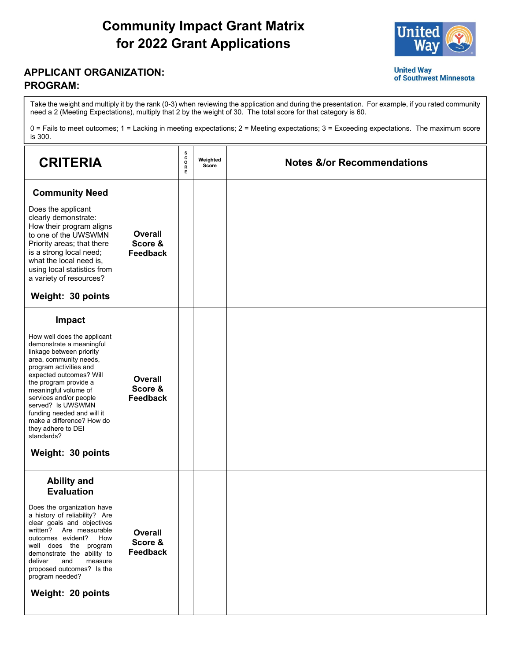## **Community Impact Grant Matrix for 2022 Grant Applications**



of Southwest Minnesota

**United Way** 

## **APPLICANT ORGANIZATION: PROGRAM:**

Take the weight and multiply it by the rank (0-3) when reviewing the application and during the presentation. For example, if you rated community need a 2 (Meeting Expectations), multiply that 2 by the weight of 30. The total score for that category is 60.

0 = Fails to meet outcomes; 1 = Lacking in meeting expectations; 2 = Meeting expectations; 3 = Exceeding expectations. The maximum score is 300.

| <b>CRITERIA</b>                                                                                                                                                                                                                                                                                                                                                                                  |                                              | s<br>C<br>$\circ$<br>${\sf R}$<br>Е | Weighted<br>Score | <b>Notes &amp;/or Recommendations</b> |
|--------------------------------------------------------------------------------------------------------------------------------------------------------------------------------------------------------------------------------------------------------------------------------------------------------------------------------------------------------------------------------------------------|----------------------------------------------|-------------------------------------|-------------------|---------------------------------------|
| <b>Community Need</b><br>Does the applicant<br>clearly demonstrate:<br>How their program aligns<br>to one of the UWSWMN<br>Priority areas; that there<br>is a strong local need;<br>what the local need is,<br>using local statistics from<br>a variety of resources?<br>Weight: 30 points                                                                                                       | <b>Overall</b><br>Score &<br><b>Feedback</b> |                                     |                   |                                       |
| Impact<br>How well does the applicant<br>demonstrate a meaningful<br>linkage between priority<br>area, community needs,<br>program activities and<br>expected outcomes? Will<br>the program provide a<br>meaningful volume of<br>services and/or people<br>served? Is UWSWMN<br>funding needed and will it<br>make a difference? How do<br>they adhere to DEI<br>standards?<br>Weight: 30 points | <b>Overall</b><br>Score &<br><b>Feedback</b> |                                     |                   |                                       |
| <b>Ability and</b><br><b>Evaluation</b><br>Does the organization have<br>a history of reliability? Are<br>clear goals and objectives<br>written? Are measurable<br>outcomes evident?<br>How<br>well does the program<br>demonstrate the ability to<br>deliver<br>and<br>measure<br>proposed outcomes? Is the<br>program needed?<br>Weight: 20 points                                             | <b>Overall</b><br>Score &<br>Feedback        |                                     |                   |                                       |